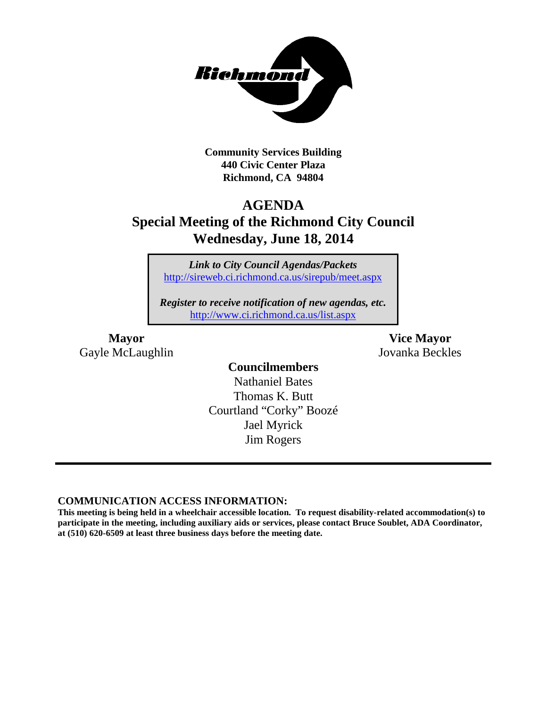

**Community Services Building 440 Civic Center Plaza Richmond, CA 94804**

### **AGENDA**

## **Special Meeting of the Richmond City Council Wednesday, June 18, 2014**

*Link to City Council Agendas/Packets* <http://sireweb.ci.richmond.ca.us/sirepub/meet.aspx>

*Register to receive notification of new agendas, etc.* <http://www.ci.richmond.ca.us/list.aspx>

Gayle McLaughlin Jovanka Beckles

**Mayor Vice Mayor**

**Councilmembers** Nathaniel Bates Thomas K. Butt Courtland "Corky" Boozé Jael Myrick Jim Rogers

### **COMMUNICATION ACCESS INFORMATION:**

**This meeting is being held in a wheelchair accessible location. To request disability-related accommodation(s) to participate in the meeting, including auxiliary aids or services, please contact Bruce Soublet, ADA Coordinator, at (510) 620-6509 at least three business days before the meeting date.**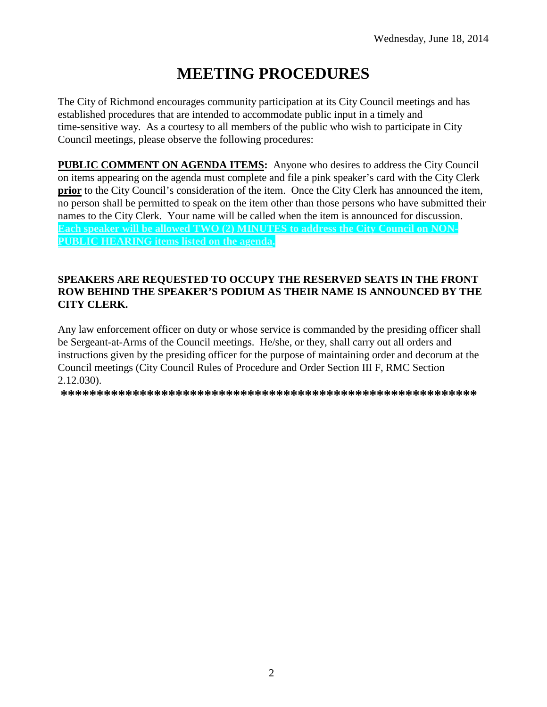# **MEETING PROCEDURES**

The City of Richmond encourages community participation at its City Council meetings and has established procedures that are intended to accommodate public input in a timely and time-sensitive way. As a courtesy to all members of the public who wish to participate in City Council meetings, please observe the following procedures:

**PUBLIC COMMENT ON AGENDA ITEMS:** Anyone who desires to address the City Council on items appearing on the agenda must complete and file a pink speaker's card with the City Clerk **prior** to the City Council's consideration of the item. Once the City Clerk has announced the item, no person shall be permitted to speak on the item other than those persons who have submitted their names to the City Clerk. Your name will be called when the item is announced for discussion. **Each speaker will be allowed TWO (2) MINUTES to address the City Council on NON-PUBLIC HEARING items listed on the agenda.**

### **SPEAKERS ARE REQUESTED TO OCCUPY THE RESERVED SEATS IN THE FRONT ROW BEHIND THE SPEAKER'S PODIUM AS THEIR NAME IS ANNOUNCED BY THE CITY CLERK.**

Any law enforcement officer on duty or whose service is commanded by the presiding officer shall be Sergeant-at-Arms of the Council meetings. He/she, or they, shall carry out all orders and instructions given by the presiding officer for the purpose of maintaining order and decorum at the Council meetings (City Council Rules of Procedure and Order Section III F, RMC Section 2.12.030).

**\*\*\*\*\*\*\*\*\*\*\*\*\*\*\*\*\*\*\*\*\*\*\*\*\*\*\*\*\*\*\*\*\*\*\*\*\*\*\*\*\*\*\*\*\*\*\*\*\*\*\*\*\*\*\*\*\*\***